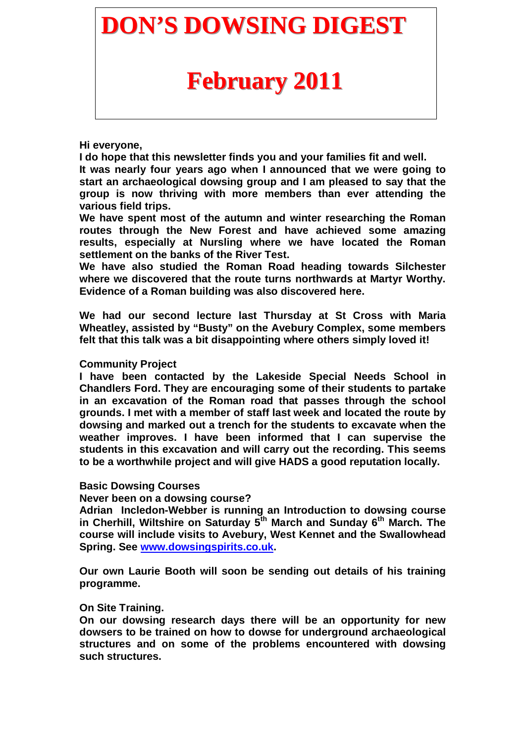## **DON'S DOWSING DIGEST**

# **February 2011**

#### **Hi everyone,**

**I do hope that this newsletter finds you and your families fit and well.** 

**It was nearly four years ago when I announced that we were going to start an archaeological dowsing group and I am pleased to say that the group is now thriving with more members than ever attending the various field trips.** 

**We have spent most of the autumn and winter researching the Roman routes through the New Forest and have achieved some amazing results, especially at Nursling where we have located the Roman settlement on the banks of the River Test.** 

**We have also studied the Roman Road heading towards Silchester where we discovered that the route turns northwards at Martyr Worthy. Evidence of a Roman building was also discovered here.** 

**We had our second lecture last Thursday at St Cross with Maria Wheatley, assisted by "Busty" on the Avebury Complex, some members felt that this talk was a bit disappointing where others simply loved it!** 

### **Community Project**

**I have been contacted by the Lakeside Special Needs School in Chandlers Ford. They are encouraging some of their students to partake in an excavation of the Roman road that passes through the school grounds. I met with a member of staff last week and located the route by dowsing and marked out a trench for the students to excavate when the weather improves. I have been informed that I can supervise the students in this excavation and will carry out the recording. This seems to be a worthwhile project and will give HADS a good reputation locally.** 

#### **Basic Dowsing Courses**

#### **Never been on a dowsing course?**

**Adrian Incledon-Webber is running an Introduction to dowsing course in Cherhill, Wiltshire on Saturday 5th March and Sunday 6th March. The course will include visits to Avebury, West Kennet and the Swallowhead Spring. See www.dowsingspirits.co.uk.** 

**Our own Laurie Booth will soon be sending out details of his training programme.** 

#### **On Site Training.**

**On our dowsing research days there will be an opportunity for new dowsers to be trained on how to dowse for underground archaeological structures and on some of the problems encountered with dowsing such structures.**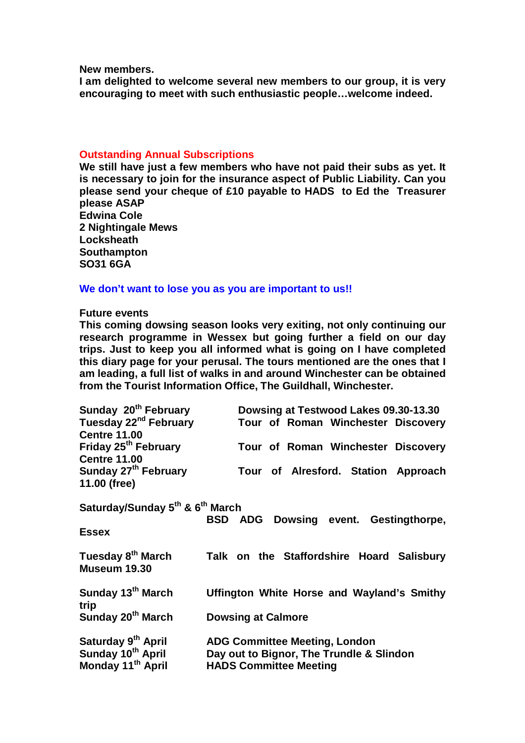**New members.** 

**I am delighted to welcome several new members to our group, it is very encouraging to meet with such enthusiastic people…welcome indeed.** 

#### **Outstanding Annual Subscriptions**

**We still have just a few members who have not paid their subs as yet. It is necessary to join for the insurance aspect of Public Liability. Can you please send your cheque of £10 payable to HADS to Ed the Treasurer please ASAP** 

**Edwina Cole 2 Nightingale Mews Locksheath Southampton SO31 6GA** 

#### **We don't want to lose you as you are important to us!!**

#### **Future events**

**This coming dowsing season looks very exiting, not only continuing our research programme in Wessex but going further a field on our day trips. Just to keep you all informed what is going on I have completed this diary page for your perusal. The tours mentioned are the ones that I am leading, a full list of walks in and around Winchester can be obtained from the Tourist Information Office, The Guildhall, Winchester.** 

| Sunday 20 <sup>th</sup> February                        | Dowsing at Testwood Lakes 09.30-13.30        |
|---------------------------------------------------------|----------------------------------------------|
| Tuesday 22 <sup>nd</sup> February                       | Tour of Roman Winchester Discovery           |
| <b>Centre 11.00</b>                                     |                                              |
| Friday 25 <sup>th</sup> February                        | Tour of Roman Winchester Discovery           |
| <b>Centre 11.00</b>                                     |                                              |
| Sunday 27 <sup>th</sup> February                        | Tour of Alresford. Station Approach          |
| 11.00 (free)                                            |                                              |
| Saturday/Sunday 5 <sup>th</sup> & 6 <sup>th</sup> March | <b>BSD ADG Dowsing event. Gestingthorpe,</b> |
| <b>Essex</b>                                            |                                              |
| Tuesday 8 <sup>th</sup> March                           | Talk on the Staffordshire Hoard Salisbury    |
| <b>Museum 19.30</b>                                     |                                              |
| Sunday 13 <sup>th</sup> March                           | Uffington White Horse and Wayland's Smithy   |
| trip                                                    |                                              |
| Sunday 20 <sup>th</sup> March                           | <b>Dowsing at Calmore</b>                    |
| Saturday 9 <sup>th</sup> April                          | <b>ADG Committee Meeting, London</b>         |
| Sunday 10 <sup>th</sup> April                           | Day out to Bignor, The Trundle & Slindon     |
| Monday 11 <sup>th</sup> April                           | <b>HADS Committee Meeting</b>                |